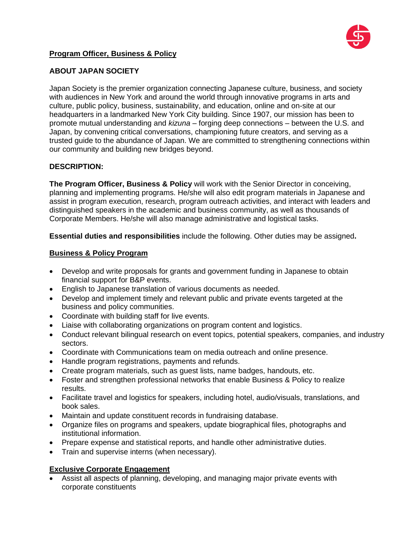

### **Program Officer, Business & Policy**

# **ABOUT JAPAN SOCIETY**

Japan Society is the premier organization connecting Japanese culture, business, and society with audiences in New York and around the world through innovative programs in arts and culture, public policy, business, sustainability, and education, online and on-site at our headquarters in a landmarked New York City building. Since 1907, our mission has been to promote mutual understanding and *kizuna* – forging deep connections – between the U.S. and Japan, by convening critical conversations, championing future creators, and serving as a trusted guide to the abundance of Japan. We are committed to strengthening connections within our community and building new bridges beyond.

# **DESCRIPTION:**

**The Program Officer, Business & Policy** will work with the Senior Director in conceiving, planning and implementing programs. He/she will also edit program materials in Japanese and assist in program execution, research, program outreach activities, and interact with leaders and distinguished speakers in the academic and business community, as well as thousands of Corporate Members. He/she will also manage administrative and logistical tasks.

**Essential duties and responsibilities** include the following. Other duties may be assigned**.**

#### **Business & Policy Program**

- Develop and write proposals for grants and government funding in Japanese to obtain financial support for B&P events.
- English to Japanese translation of various documents as needed.
- Develop and implement timely and relevant public and private events targeted at the business and policy communities.
- Coordinate with building staff for live events.
- Liaise with collaborating organizations on program content and logistics.
- Conduct relevant bilingual research on event topics, potential speakers, companies, and industry sectors.
- Coordinate with Communications team on media outreach and online presence.
- Handle program registrations, payments and refunds.
- Create program materials, such as guest lists, name badges, handouts, etc.
- Foster and strengthen professional networks that enable Business & Policy to realize results.
- Facilitate travel and logistics for speakers, including hotel, audio/visuals, translations, and book sales.
- Maintain and update constituent records in fundraising database.
- Organize files on programs and speakers, update biographical files, photographs and institutional information.
- Prepare expense and statistical reports, and handle other administrative duties.
- Train and supervise interns (when necessary).

#### **Exclusive Corporate Engagement**

• Assist all aspects of planning, developing, and managing major private events with corporate constituents